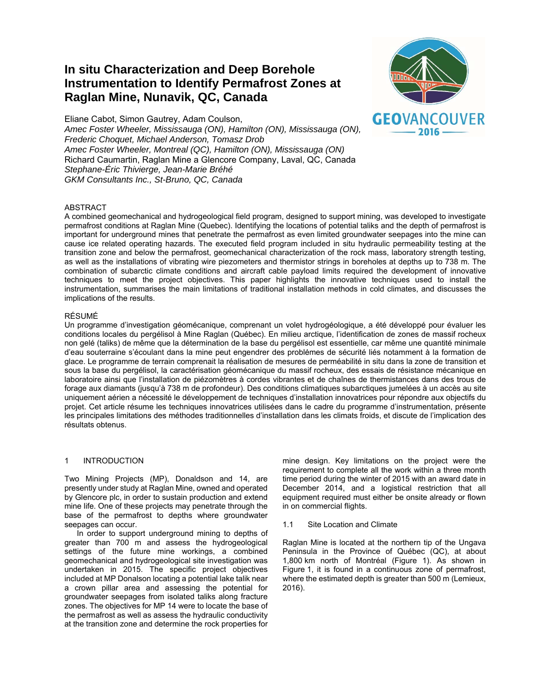# **In situ Characterization and Deep Borehole Instrumentation to Identify Permafrost Zones at Raglan Mine, Nunavik, QC, Canada**



Eliane Cabot, Simon Gautrey, Adam Coulson, *Amec Foster Wheeler, Mississauga (ON), Hamilton (ON), Mississauga (ON), Frederic Choquet, Michael Anderson, Tomasz Drob Amec Foster Wheeler, Montreal (QC), Hamilton (ON), Mississauga (ON)*  Richard Caumartin, Raglan Mine a Glencore Company, Laval, QC, Canada *Stephane-Éric Thivierge, Jean-Marie Bréhé GKM Consultants Inc., St-Bruno, QC, Canada* 

## ABSTRACT

A combined geomechanical and hydrogeological field program, designed to support mining, was developed to investigate permafrost conditions at Raglan Mine (Quebec). Identifying the locations of potential taliks and the depth of permafrost is important for underground mines that penetrate the permafrost as even limited groundwater seepages into the mine can cause ice related operating hazards. The executed field program included in situ hydraulic permeability testing at the transition zone and below the permafrost, geomechanical characterization of the rock mass, laboratory strength testing, as well as the installations of vibrating wire piezometers and thermistor strings in boreholes at depths up to 738 m. The combination of subarctic climate conditions and aircraft cable payload limits required the development of innovative techniques to meet the project objectives. This paper highlights the innovative techniques used to install the instrumentation, summarises the main limitations of traditional installation methods in cold climates, and discusses the implications of the results.

## RÉSUMÉ

Un programme d'investigation géomécanique, comprenant un volet hydrogéologique, a été développé pour évaluer les conditions locales du pergélisol à Mine Raglan (Québec). En milieu arctique, l'identification de zones de massif rocheux non gelé (taliks) de même que la détermination de la base du pergélisol est essentielle, car même une quantité minimale d'eau souterraine s'écoulant dans la mine peut engendrer des problėmes de sécurité liés notamment à la formation de glace. Le programme de terrain comprenait la réalisation de mesures de perméabilité in situ dans la zone de transition et sous la base du pergélisol, la caractérisation géomécanique du massif rocheux, des essais de résistance mécanique en laboratoire ainsi que l'installation de piézomètres à cordes vibrantes et de chaînes de thermistances dans des trous de forage aux diamants (jusqu'à 738 m de profondeur). Des conditions climatiques subarctiques jumelées à un accès au site uniquement aérien a nécessité le développement de techniques d'installation innovatrices pour répondre aux objectifs du projet. Cet article résume les techniques innovatrices utilisées dans le cadre du programme d'instrumentation, présente les principales limitations des méthodes traditionnelles d'installation dans les climats froids, et discute de l'implication des résultats obtenus.

## 1 INTRODUCTION

Two Mining Projects (MP), Donaldson and 14, are presently under study at Raglan Mine, owned and operated by Glencore plc, in order to sustain production and extend mine life. One of these projects may penetrate through the base of the permafrost to depths where groundwater seepages can occur.

In order to support underground mining to depths of greater than 700 m and assess the hydrogeological settings of the future mine workings, a combined geomechanical and hydrogeological site investigation was undertaken in 2015. The specific project objectives included at MP Donalson locating a potential lake talik near a crown pillar area and assessing the potential for groundwater seepages from isolated taliks along fracture zones. The objectives for MP 14 were to locate the base of the permafrost as well as assess the hydraulic conductivity at the transition zone and determine the rock properties for mine design. Key limitations on the project were the requirement to complete all the work within a three month time period during the winter of 2015 with an award date in December 2014, and a logistical restriction that all equipment required must either be onsite already or flown in on commercial flights.

1.1 Site Location and Climate

Raglan Mine is located at the northern tip of the Ungava Peninsula in the Province of Québec (QC), at about 1,800 km north of Montréal (Figure 1). As shown in Figure 1, it is found in a continuous zone of permafrost, where the estimated depth is greater than 500 m (Lemieux, 2016).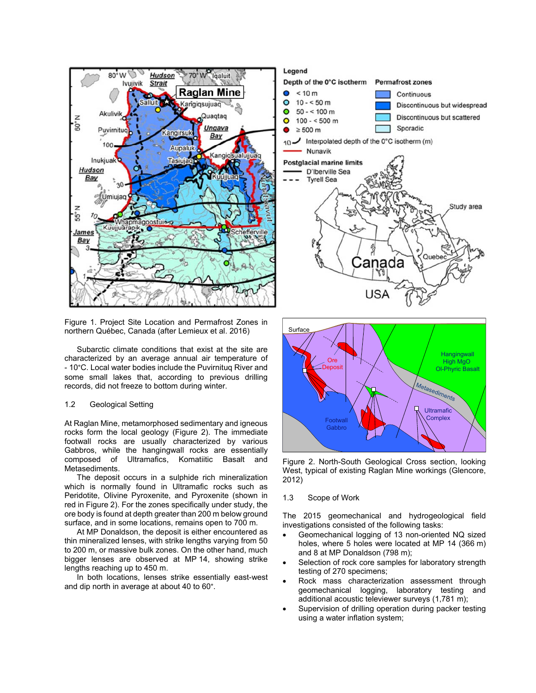

Figure 1. Project Site Location and Permafrost Zones in northern Québec, Canada (after Lemieux et al. 2016)

Subarctic climate conditions that exist at the site are characterized by an average annual air temperature of - 10°C. Local water bodies include the Puvirnituq River and some small lakes that, according to previous drilling records, did not freeze to bottom during winter.

## 1.2 Geological Setting

At Raglan Mine, metamorphosed sedimentary and igneous rocks form the local geology (Figure 2). The immediate footwall rocks are usually characterized by various Gabbros, while the hangingwall rocks are essentially composed of Ultramafics, Komatiitic Basalt and Metasediments.

The deposit occurs in a sulphide rich mineralization which is normally found in Ultramafic rocks such as Peridotite, Olivine Pyroxenite, and Pyroxenite (shown in red in Figure 2). For the zones specifically under study, the ore body is found at depth greater than 200 m below ground surface, and in some locations, remains open to 700 m.

At MP Donaldson, the deposit is either encountered as thin mineralized lenses, with strike lengths varying from 50 to 200 m, or massive bulk zones. On the other hand, much bigger lenses are observed at MP 14, showing strike lengths reaching up to 450 m.

In both locations, lenses strike essentially east-west and dip north in average at about 40 to 60°.

## Legend Depth of the 0°C isotherm Permafrost zones  $< 10 m$ Continuous  $10 - 50 m$  $\Omega$ Discontinuous but widespread  $\bullet$  $50 - 100 m$ Discontinuous but scattered  $\Omega$  $100 - 500$  m Sporadic  $\geq 500$  m 10 J Interpolated depth of the 0°C isotherm (m) Nunavik **Postglacial marine limits** D'Iberville Sea **Tyrell Sea** Study area Quel ≿anada **Surface**



Figure 2. North-South Geological Cross section, looking West, typical of existing Raglan Mine workings (Glencore, 2012)

#### 1.3 Scope of Work

The 2015 geomechanical and hydrogeological field investigations consisted of the following tasks:

- Geomechanical logging of 13 non-oriented NQ sized holes, where 5 holes were located at MP 14 (366 m) and 8 at MP Donaldson (798 m);
- Selection of rock core samples for laboratory strength testing of 270 specimens;
- Rock mass characterization assessment through geomechanical logging, laboratory testing and additional acoustic televiewer surveys (1,781 m);
- Supervision of drilling operation during packer testing using a water inflation system;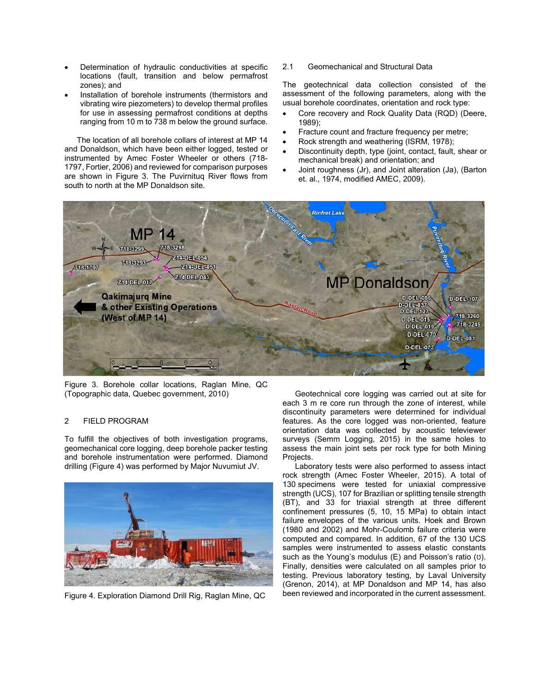- Determination of hydraulic conductivities at specific locations (fault, transition and below permafrost zones); and
- Installation of borehole instruments (thermistors and vibrating wire piezometers) to develop thermal profiles for use in assessing permafrost conditions at depths ranging from 10 m to 738 m below the ground surface.

The location of all borehole collars of interest at MP 14 and Donaldson, which have been either logged, tested or instrumented by Amec Foster Wheeler or others (718- 1797, Fortier, 2006) and reviewed for comparison purposes are shown in Figure 3. The Puvirnituq River flows from south to north at the MP Donaldson site.

2.1 Geomechanical and Structural Data

The geotechnical data collection consisted of the assessment of the following parameters, along with the usual borehole coordinates, orientation and rock type:

- Core recovery and Rock Quality Data (RQD) (Deere, 1989);
- Fracture count and fracture frequency per metre:
- Rock strength and weathering (ISRM, 1978);
- Discontinuity depth, type (joint, contact, fault, shear or mechanical break) and orientation; and
- Joint roughness (Jr), and Joint alteration (Ja), (Barton et. al., 1974, modified AMEC, 2009).



Figure 3. Borehole collar locations, Raglan Mine, QC (Topographic data, Quebec government, 2010)

## 2 FIELD PROGRAM

To fulfill the objectives of both investigation programs, geomechanical core logging, deep borehole packer testing and borehole instrumentation were performed. Diamond drilling (Figure 4) was performed by Major Nuvumiut JV.



Figure 4. Exploration Diamond Drill Rig, Raglan Mine, QC

Geotechnical core logging was carried out at site for each 3 m re core run through the zone of interest, while discontinuity parameters were determined for individual features. As the core logged was non-oriented, feature orientation data was collected by acoustic televiewer surveys (Semm Logging, 2015) in the same holes to assess the main joint sets per rock type for both Mining Projects.

Laboratory tests were also performed to assess intact rock strength (Amec Foster Wheeler, 2015). A total of 130 specimens were tested for uniaxial compressive strength (UCS), 107 for Brazilian or splitting tensile strength (BT), and 33 for triaxial strength at three different confinement pressures (5, 10, 15 MPa) to obtain intact failure envelopes of the various units. Hoek and Brown (1980 and 2002) and Mohr-Coulomb failure criteria were computed and compared. In addition, 67 of the 130 UCS samples were instrumented to assess elastic constants such as the Young's modulus  $(E)$  and Poisson's ratio  $(U)$ . Finally, densities were calculated on all samples prior to testing. Previous laboratory testing, by Laval University (Grenon, 2014), at MP Donaldson and MP 14, has also been reviewed and incorporated in the current assessment.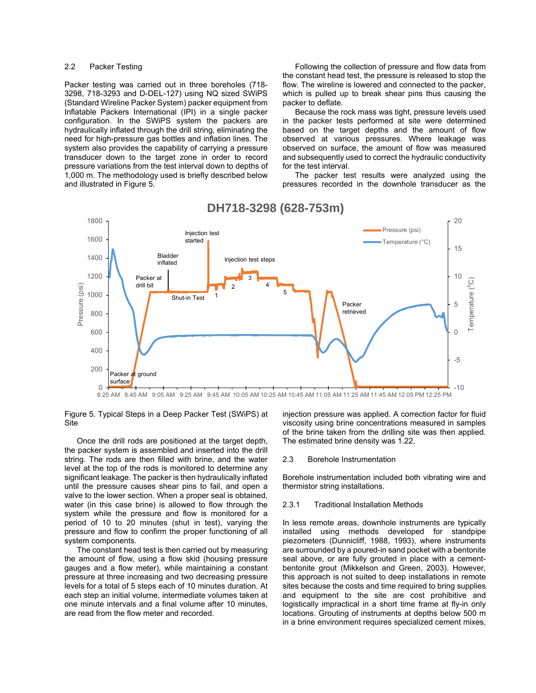#### 2.2 Packer Testing

Packer testing was carried out in three boreholes (718- 3298, 718-3293 and D-DEL-127) using NQ sized SWiPS (Standard Wireline Packer System) packer equipment from Inflatable Packers International (IPI) in a single packer configuration. In the SWiPS system the packers are hydraulically inflated through the drill string, eliminating the need for high-pressure gas bottles and inflation lines. The system also provides the capability of carrying a pressure transducer down to the target zone in order to record pressure variations from the test interval down to depths of 1,000 m. The methodology used is briefly described below and illustrated in Figure 5.

Following the collection of pressure and flow data from the constant head test, the pressure is released to stop the flow. The wireline is lowered and connected to the packer, which is pulled up to break shear pins thus causing the packer to deflate.

Because the rock mass was tight, pressure levels used in the packer tests performed at site were determined based on the target depths and the amount of flow observed at various pressures. Where leakage was observed on surface, the amount of flow was measured and subsequently used to correct the hydraulic conductivity for the test interval.

The packer test results were analyzed using the pressures recorded in the downhole transducer as the



## **DH718-3298 (628-753m)**

Figure 5. Typical Steps in a Deep Packer Test (SWiPS) at Site

Once the drill rods are positioned at the target depth, the packer system is assembled and inserted into the drill string. The rods are then filled with brine, and the water level at the top of the rods is monitored to determine any significant leakage. The packer is then hydraulically inflated until the pressure causes shear pins to fail, and open a valve to the lower section. When a proper seal is obtained, water (in this case brine) is allowed to flow through the system while the pressure and flow is monitored for a period of 10 to 20 minutes (shut in test), varying the pressure and flow to confirm the proper functioning of all system components.

The constant head test is then carried out by measuring the amount of flow, using a flow skid (housing pressure gauges and a flow meter), while maintaining a constant pressure at three increasing and two decreasing pressure levels for a total of 5 steps each of 10 minutes duration. At each step an initial volume, intermediate volumes taken at one minute intervals and a final volume after 10 minutes, are read from the flow meter and recorded.

injection pressure was applied. A correction factor for fluid viscosity using brine concentrations measured in samples of the brine taken from the drilling site was then applied. The estimated brine density was 1.22.

#### 2.3 Borehole Instrumentation

Borehole instrumentation included both vibrating wire and thermistor string installations.

## 2.3.1 Traditional Installation Methods

In less remote areas, downhole instruments are typically installed using methods developed for standpipe piezometers (Dunnicliff, 1988, 1993), where instruments are surrounded by a poured-in sand pocket with a bentonite seal above, or are fully grouted in place with a cementbentonite grout (Mikkelson and Green, 2003). However, this approach is not suited to deep installations in remote sites because the costs and time required to bring supplies and equipment to the site are cost prohibitive and logistically impractical in a short time frame at fly-in only locations. Grouting of instruments at depths below 500 m in a brine environment requires specialized cement mixes,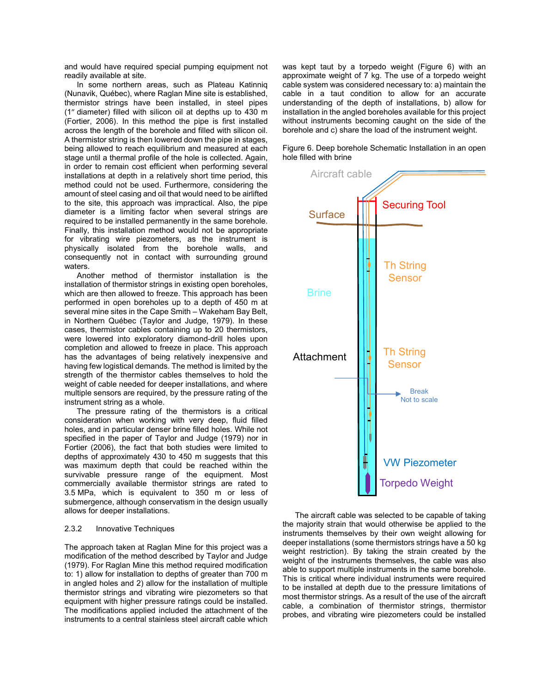and would have required special pumping equipment not readily available at site.

In some northern areas, such as Plateau Katinniq (Nunavik, Québec), where Raglan Mine site is established, thermistor strings have been installed, in steel pipes (1″ diameter) filled with silicon oil at depths up to 430 m (Fortier, 2006). In this method the pipe is first installed across the length of the borehole and filled with silicon oil. A thermistor string is then lowered down the pipe in stages, being allowed to reach equilibrium and measured at each stage until a thermal profile of the hole is collected. Again, in order to remain cost efficient when performing several installations at depth in a relatively short time period, this method could not be used. Furthermore, considering the amount of steel casing and oil that would need to be airlifted to the site, this approach was impractical. Also, the pipe diameter is a limiting factor when several strings are required to be installed permanently in the same borehole. Finally, this installation method would not be appropriate for vibrating wire piezometers, as the instrument is physically isolated from the borehole walls, and consequently not in contact with surrounding ground waters.

Another method of thermistor installation is the installation of thermistor strings in existing open boreholes, which are then allowed to freeze. This approach has been performed in open boreholes up to a depth of 450 m at several mine sites in the Cape Smith – Wakeham Bay Belt, in Northern Québec (Taylor and Judge, 1979). In these cases, thermistor cables containing up to 20 thermistors, were lowered into exploratory diamond-drill holes upon completion and allowed to freeze in place. This approach has the advantages of being relatively inexpensive and having few logistical demands. The method is limited by the strength of the thermistor cables themselves to hold the weight of cable needed for deeper installations, and where multiple sensors are required, by the pressure rating of the instrument string as a whole.

The pressure rating of the thermistors is a critical consideration when working with very deep, fluid filled holes, and in particular denser brine filled holes. While not specified in the paper of Taylor and Judge (1979) nor in Fortier (2006), the fact that both studies were limited to depths of approximately 430 to 450 m suggests that this was maximum depth that could be reached within the survivable pressure range of the equipment. Most commercially available thermistor strings are rated to 3.5 MPa, which is equivalent to 350 m or less of submergence, although conservatism in the design usually allows for deeper installations.

#### 2.3.2 Innovative Techniques

The approach taken at Raglan Mine for this project was a modification of the method described by Taylor and Judge (1979). For Raglan Mine this method required modification to: 1) allow for installation to depths of greater than 700 m in angled holes and 2) allow for the installation of multiple thermistor strings and vibrating wire piezometers so that equipment with higher pressure ratings could be installed. The modifications applied included the attachment of the instruments to a central stainless steel aircraft cable which

was kept taut by a torpedo weight (Figure 6) with an approximate weight of 7 kg. The use of a torpedo weight cable system was considered necessary to: a) maintain the cable in a taut condition to allow for an accurate understanding of the depth of installations, b) allow for installation in the angled boreholes available for this project without instruments becoming caught on the side of the borehole and c) share the load of the instrument weight.

Figure 6. Deep borehole Schematic Installation in an open hole filled with brine



The aircraft cable was selected to be capable of taking the majority strain that would otherwise be applied to the instruments themselves by their own weight allowing for deeper installations (some thermistors strings have a 50 kg weight restriction). By taking the strain created by the weight of the instruments themselves, the cable was also able to support multiple instruments in the same borehole. This is critical where individual instruments were required to be installed at depth due to the pressure limitations of most thermistor strings. As a result of the use of the aircraft cable, a combination of thermistor strings, thermistor probes, and vibrating wire piezometers could be installed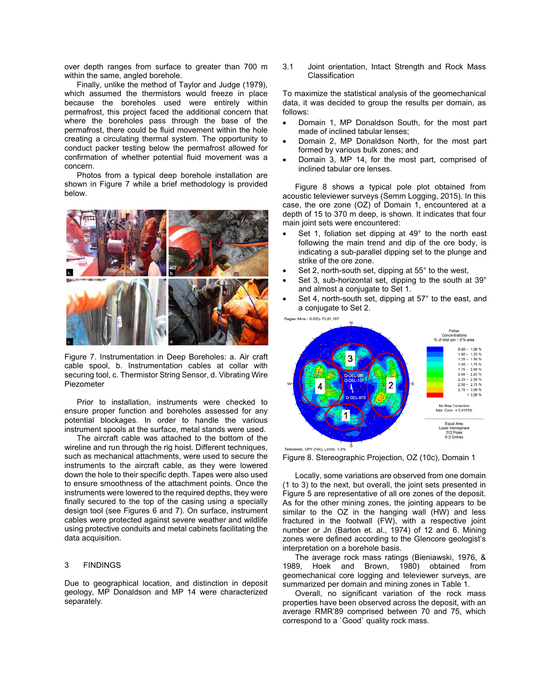over depth ranges from surface to greater than 700 m within the same, angled borehole.

Finally, unlike the method of Taylor and Judge (1979), which assumed the thermistors would freeze in place because the boreholes used were entirely within permafrost, this project faced the additional concern that where the boreholes pass through the base of the permafrost, there could be fluid movement within the hole creating a circulating thermal system. The opportunity to conduct packer testing below the permafrost allowed for confirmation of whether potential fluid movement was a concern.

Photos from a typical deep borehole installation are shown in Figure 7 while a brief methodology is provided below.



Figure 7. Instrumentation in Deep Boreholes: a. Air craft cable spool, b. Instrumentation cables at collar with securing tool, c. Thermistor String Sensor, d. Vibrating Wire Piezometer

Prior to installation, instruments were checked to ensure proper function and boreholes assessed for any potential blockages. In order to handle the various instrument spools at the surface, metal stands were used.

The aircraft cable was attached to the bottom of the wireline and run through the rig hoist. Different techniques, such as mechanical attachments, were used to secure the instruments to the aircraft cable, as they were lowered down the hole to their specific depth. Tapes were also used to ensure smoothness of the attachment points. Once the instruments were lowered to the required depths, they were finally secured to the top of the casing using a specially design tool (see Figures 6 and 7). On surface, instrument cables were protected against severe weather and wildlife using protective conduits and metal cabinets facilitating the data acquisition.

#### 3 FINDINGS

Due to geographical location, and distinction in deposit geology, MP Donaldson and MP 14 were characterized separately.

3.1 Joint orientation, Intact Strength and Rock Mass Classification

To maximize the statistical analysis of the geomechanical data, it was decided to group the results per domain, as follows:

- Domain 1, MP Donaldson South, for the most part made of inclined tabular lenses;
- Domain 2, MP Donaldson North, for the most part formed by various bulk zones; and
- Domain 3, MP 14, for the most part, comprised of inclined tabular ore lenses.

Figure 8 shows a typical pole plot obtained from acoustic televiewer surveys (Semm Logging, 2015). In this case, the ore zone (OZ) of Domain 1, encountered at a depth of 15 to 370 m deep, is shown. It indicates that four main joint sets were encountered:

- Set 1, foliation set dipping at 49° to the north east following the main trend and dip of the ore body, is indicating a sub-parallel dipping set to the plunge and strike of the ore zone.
- Set 2, north-south set, dipping at 55° to the west,
- Set 3, sub-horizontal set, dipping to the south at 39° and almost a conjugate to Set 1.
- Set 4, north-south set, dipping at 57° to the east, and a conjugate to Set 2.



Televiewer, OPY (10c), Limits: 1-3%

Figure 8. Stereographic Projection, OZ (10c), Domain 1

Locally, some variations are observed from one domain (1 to 3) to the next, but overall, the joint sets presented in Figure 5 are representative of all ore zones of the deposit. As for the other mining zones, the jointing appears to be similar to the OZ in the hanging wall (HW) and less fractured in the footwall (FW), with a respective joint number or Jn (Barton et. al., 1974) of 12 and 6. Mining zones were defined according to the Glencore geologist's interpretation on a borehole basis.

The average rock mass ratings (Bieniawski, 1976, & 1989, Hoek and Brown, 1980) obtained from geomechanical core logging and televiewer surveys, are summarized per domain and mining zones in Table 1.

Overall, no significant variation of the rock mass properties have been observed across the deposit, with an average RMR'89 comprised between 70 and 75, which correspond to a `Good` quality rock mass.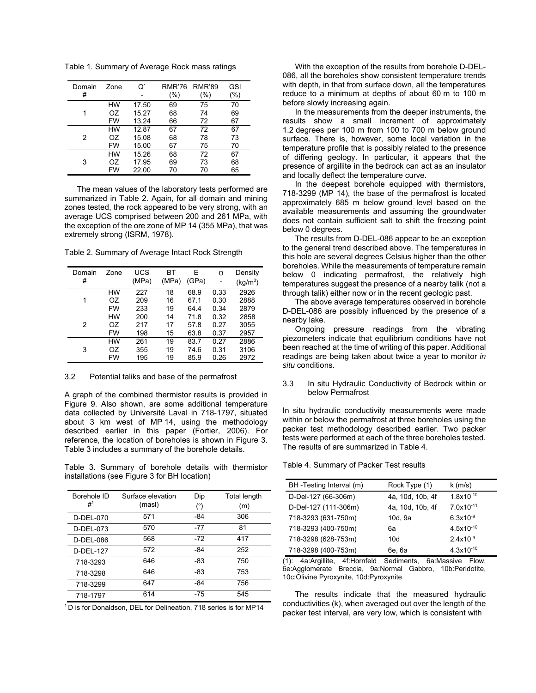Table 1. Summary of Average Rock mass ratings

| Domain<br># | Zone | σ.    | <b>RMR'76</b><br>(%) | <b>RMR'89</b><br>(%) | <b>GSI</b><br>(%) |
|-------------|------|-------|----------------------|----------------------|-------------------|
| 1           | НW   | 17.50 | 69                   | 75                   | 70                |
|             | OZ   | 15.27 | 68                   | 74                   | 69                |
|             | FW   | 13.24 | 66                   | 72                   | 67                |
| 2           | HW   | 12.87 | 67                   | 72                   | 67                |
|             | OZ   | 15.08 | 68                   | 78                   | 73                |
|             | FW   | 15.00 | 67                   | 75                   | 70                |
| 3           | НW   | 15.26 | 68                   | 72                   | 67                |
|             | OZ   | 17.95 | 69                   | 73                   | 68                |
|             | FW   | 22.00 | 70                   | 70                   | 65                |

The mean values of the laboratory tests performed are summarized in Table 2. Again, for all domain and mining zones tested, the rock appeared to be very strong, with an average UCS comprised between 200 and 261 MPa, with the exception of the ore zone of MP 14 (355 MPa), that was extremely strong (ISRM, 1978).

| Domain | Zone | UCS   | ВT    | E     | Ω    | Density              |
|--------|------|-------|-------|-------|------|----------------------|
| #      |      | (MPa) | (MPa) | (GPa) |      | (kg/m <sup>3</sup> ) |
|        | НW   | 227   | 18    | 68.9  | 0.33 | 2926                 |
| 1      | OZ   | 209   | 16    | 67.1  | 0.30 | 2888                 |
|        | FW   | 233   | 19    | 64.4  | 0.34 | 2879                 |
|        | НW   | 200   | 14    | 71.8  | 0.32 | 2858                 |
| 2      | OZ   | 217   | 17    | 57.8  | 0.27 | 3055                 |
|        | FW   | 198   | 15    | 63.8  | 0.37 | 2957                 |
|        | НW   | 261   | 19    | 83.7  | 0.27 | 2886                 |
| 3      | OZ   | 355   | 19    | 74.6  | 0.31 | 3106                 |
|        | FW   | 195   | 19    | 85.9  | 0.26 | 2972                 |

Table 2. Summary of Average Intact Rock Strength

#### 3.2 Potential taliks and base of the permafrost

A graph of the combined thermistor results is provided in Figure 9. Also shown, are some additional temperature data collected by Université Laval in 718-1797, situated about 3 km west of MP 14, using the methodology described earlier in this paper (Fortier, 2006). For reference, the location of boreholes is shown in Figure 3. Table 3 includes a summary of the borehole details.

Table 3. Summary of borehole details with thermistor installations (see Figure 3 for BH location)

| Borehole ID<br>$#^1$ | Surface elevation<br>(masl) | Dip<br>(°) | Total length<br>(m) |
|----------------------|-----------------------------|------------|---------------------|
| D-DEL-070            | 571                         | -84        | 306                 |
| D-DEL-073            | 570                         | -77        | 81                  |
| D-DEL-086            | 568                         | $-72$      | 417                 |
| D-DEL-127            | 572                         | -84        | 252                 |
| 718-3293             | 646                         | -83        | 750                 |
| 718-3298             | 646                         | -83        | 753                 |
| 718-3299             | 647                         | -84        | 756                 |
| 718-1797             | 614                         | $-75$      | 545                 |

1 D is for Donaldson, DEL for Delineation, 718 series is for MP14

With the exception of the results from borehole D-DEL-086, all the boreholes show consistent temperature trends with depth, in that from surface down, all the temperatures reduce to a minimum at depths of about 60 m to 100 m before slowly increasing again.

In the measurements from the deeper instruments, the results show a small increment of approximately 1.2 degrees per 100 m from 100 to 700 m below ground surface. There is, however, some local variation in the temperature profile that is possibly related to the presence of differing geology. In particular, it appears that the presence of argillite in the bedrock can act as an insulator and locally deflect the temperature curve.

In the deepest borehole equipped with thermistors, 718-3299 (MP 14), the base of the permafrost is located approximately 685 m below ground level based on the available measurements and assuming the groundwater does not contain sufficient salt to shift the freezing point below 0 degrees.

The results from D-DEL-086 appear to be an exception to the general trend described above. The temperatures in this hole are several degrees Celsius higher than the other boreholes. While the measurements of temperature remain below 0 indicating permafrost, the relatively high temperatures suggest the presence of a nearby talik (not a through talik) either now or in the recent geologic past.

The above average temperatures observed in borehole D-DEL-086 are possibly influenced by the presence of a nearby lake.

Ongoing pressure readings from the vibrating piezometers indicate that equilibrium conditions have not been reached at the time of writing of this paper. Additional readings are being taken about twice a year to monitor *in situ* conditions.

#### 3.3 In situ Hydraulic Conductivity of Bedrock within or below Permafrost

In situ hydraulic conductivity measurements were made within or below the permafrost at three boreholes using the packer test methodology described earlier. Two packer tests were performed at each of the three boreholes tested. The results of are summarized in Table 4.

#### Table 4. Summary of Packer Test results

| BH-Testing Interval (m)                                | Rock Type (1)                                   | $k$ (m/s)                                                                                                                                             |
|--------------------------------------------------------|-------------------------------------------------|-------------------------------------------------------------------------------------------------------------------------------------------------------|
| D-Del-127 (66-306m)                                    | 4a, 10d, 10b, 4f                                | $1.8x10^{-10}$                                                                                                                                        |
| D-Del-127 (111-306m)                                   | 4a, 10d, 10b, 4f                                | $7.0x10^{-11}$                                                                                                                                        |
| 718-3293 (631-750m)                                    | 10d, 9a                                         | $6.3x10^{-9}$                                                                                                                                         |
| 718-3293 (400-750m)                                    | 6а                                              | $4.5x10^{-10}$                                                                                                                                        |
| 718-3298 (628-753m)                                    | 10d                                             | $2.4x10^{-9}$                                                                                                                                         |
| 718-3298 (400-753m)                                    | 6e, 6a                                          | $4.3x10^{-10}$                                                                                                                                        |
| (4), 4 = , A = = 11114 = - - 4 f = 1 = = = - f = 1 = 1 | $\Omega$ and $\Omega$ and $\Omega$ and $\Omega$ | $\bigcap_{n=1}^{\infty}$ $\bigcup_{n=1}^{\infty}$ $\bigcap_{n=1}^{\infty}$ $\bigcap_{n=1}^{\infty}$ $\bigcap_{n=1}^{\infty}$ $\bigcap_{n=1}^{\infty}$ |

(1): 4a:Argillite, 4f:Hornfeld Sediments, 6a:Massive Flow, 6e:Agglomerate Breccia, 9a:Normal Gabbro, 10b:Peridotite, 10c:Olivine Pyroxynite, 10d:Pyroxynite

The results indicate that the measured hydraulic conductivities (k), when averaged out over the length of the packer test interval, are very low, which is consistent with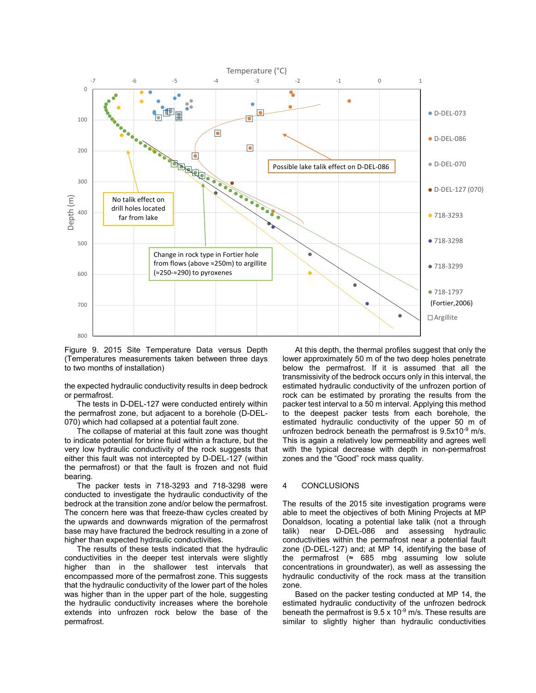

Figure 9. 2015 Site Temperature Data versus Depth (Temperatures measurements taken between three days to two months of installation)

the expected hydraulic conductivity results in deep bedrock or permafrost.

The tests in D-DEL-127 were conducted entirely within the permafrost zone, but adjacent to a borehole (D-DEL-070) which had collapsed at a potential fault zone.

The collapse of material at this fault zone was thought to indicate potential for brine fluid within a fracture, but the very low hydraulic conductivity of the rock suggests that either this fault was not intercepted by D-DEL-127 (within the permafrost) or that the fault is frozen and not fluid bearing.

The packer tests in 718-3293 and 718-3298 were conducted to investigate the hydraulic conductivity of the bedrock at the transition zone and/or below the permafrost. The concern here was that freeze-thaw cycles created by the upwards and downwards migration of the permafrost base may have fractured the bedrock resulting in a zone of higher than expected hydraulic conductivities.

The results of these tests indicated that the hydraulic conductivities in the deeper test intervals were slightly higher than in the shallower test intervals that encompassed more of the permafrost zone. This suggests that the hydraulic conductivity of the lower part of the holes was higher than in the upper part of the hole, suggesting the hydraulic conductivity increases where the borehole extends into unfrozen rock below the base of the permafrost.

At this depth, the thermal profiles suggest that only the lower approximately 50 m of the two deep holes penetrate below the permafrost. If it is assumed that all the transmissivity of the bedrock occurs only in this interval, the estimated hydraulic conductivity of the unfrozen portion of rock can be estimated by prorating the results from the packer test interval to a 50 m interval. Applying this method to the deepest packer tests from each borehole, the estimated hydraulic conductivity of the upper 50 m of unfrozen bedrock beneath the permafrost is 9.5x10<sup>-9</sup> m/s. This is again a relatively low permeability and agrees well with the typical decrease with depth in non-permafrost zones and the "Good" rock mass quality.

## 4 CONCLUSIONS

The results of the 2015 site investigation programs were able to meet the objectives of both Mining Projects at MP Donaldson, locating a potential lake talik (not a through talik) near D-DEL-086 and assessing hydraulic conductivities within the permafrost near a potential fault zone (D-DEL-127) and; at MP 14, identifying the base of the permafrost  $(≈ 685 mbg$  assuming low solute concentrations in groundwater), as well as assessing the hydraulic conductivity of the rock mass at the transition zone.

Based on the packer testing conducted at MP 14, the estimated hydraulic conductivity of the unfrozen bedrock beneath the permafrost is  $9.5 \times 10^{-9}$  m/s. These results are similar to slightly higher than hydraulic conductivities